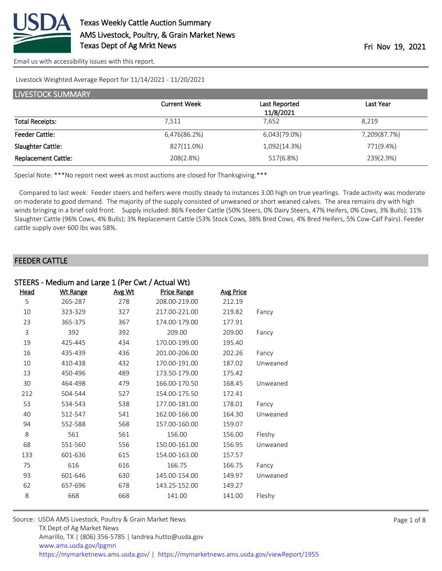

[Email us with accessibility issues with this report.](mailto:mars@ams.usda.gov?subject=508%20issue)

#### Livestock Weighted Average Report for 11/14/2021 - 11/20/2021

| <b>LIVESTOCK SUMMARY</b>   |                     |               |              |  |  |  |
|----------------------------|---------------------|---------------|--------------|--|--|--|
|                            | <b>Current Week</b> | Last Reported | Last Year    |  |  |  |
|                            |                     | 11/8/2021     |              |  |  |  |
| <b>Total Receipts:</b>     | 7.511               | 7.652         | 8.219        |  |  |  |
| <b>Feeder Cattle:</b>      | 6,476(86.2%)        | 6,043(79.0%)  | 7,209(87.7%) |  |  |  |
| Slaughter Cattle:          | 827(11.0%)          | 1,092(14.3%)  | 771(9.4%)    |  |  |  |
| <b>Replacement Cattle:</b> | 208(2.8%)           | 517(6.8%)     | 239(2.9%)    |  |  |  |

Special Note: \*\*\*No report next week as most auctions are closed for Thanksgiving.\*\*\*

 Compared to last week: Feeder steers and heifers were mostly steady to instances 3.00 high on true yearlings. Trade activity was moderate on moderate to good demand. The majority of the supply consisted of unweaned or short weaned calves. The area remains dry with high winds bringing in a brief cold front. Supply included: 86% Feeder Cattle (50% Steers, 0% Dairy Steers, 47% Heifers, 0% Cows, 3% Bulls); 11% Slaughter Cattle (96% Cows, 4% Bulls); 3% Replacement Cattle (53% Stock Cows, 38% Bred Cows, 4% Bred Heifers, 5% Cow-Calf Pairs). Feeder cattle supply over 600 lbs was 58%.

#### FEEDER CATTLE

| STEERS - Medium and Large 1 (Per Cwt / Actual Wt) |                 |        |                    |                  |          |  |
|---------------------------------------------------|-----------------|--------|--------------------|------------------|----------|--|
| <u>Head</u>                                       | <b>Wt Range</b> | Avg Wt | <b>Price Range</b> | <b>Avg Price</b> |          |  |
| 5                                                 | 265-287         | 278    | 208.00-219.00      | 212.19           |          |  |
| 10                                                | 323-329         | 327    | 217.00-221.00      | 219.82           | Fancy    |  |
| 23                                                | 365-375         | 367    | 174.00-179.00      | 177.91           |          |  |
| 3                                                 | 392             | 392    | 209.00             | 209.00           | Fancy    |  |
| 19                                                | 425-445         | 434    | 170.00-199.00      | 195.40           |          |  |
| 16                                                | 435-439         | 436    | 201.00-206.00      | 202.26           | Fancy    |  |
| 10                                                | 410-438         | 432    | 170.00-191.00      | 187.02           | Unweaned |  |
| 13                                                | 450-496         | 489    | 173.50-179.00      | 175.42           |          |  |
| 30                                                | 464-498         | 479    | 166.00-170.50      | 168.45           | Unweaned |  |
| 212                                               | 504-544         | 527    | 154.00-175.50      | 172.41           |          |  |
| 53                                                | 534-543         | 538    | 177.00-181.00      | 178.01           | Fancy    |  |
| 40                                                | 512-547         | 541    | 162.00-166.00      | 164.30           | Unweaned |  |
| 94                                                | 552-588         | 568    | 157.00-160.00      | 159.07           |          |  |
| 8                                                 | 561             | 561    | 156.00             | 156.00           | Fleshy   |  |
| 68                                                | 551-560         | 556    | 150.00-161.00      | 156.95           | Unweaned |  |
| 133                                               | 601-636         | 615    | 154.00-163.00      | 157.57           |          |  |
| 75                                                | 616             | 616    | 166.75             | 166.75           | Fancy    |  |
| 93                                                | 601-646         | 630    | 145.00-154.00      | 149.97           | Unweaned |  |
| 62                                                | 657-696         | 678    | 143.25-152.00      | 149.27           |          |  |
| 8                                                 | 668             | 668    | 141.00             | 141.00           | Fleshy   |  |
|                                                   |                 |        |                    |                  |          |  |

| Source: USDA AMS Livestock, Poultry & Grain Market News                                |
|----------------------------------------------------------------------------------------|
| TX Dept of Ag Market News                                                              |
| Amarillo, TX   (806) 356-5785   landrea.hutto@usda.gov                                 |
| www.ams.usda.gov/lpgmn                                                                 |
| https://mymarketnews.ams.usda.gov/   https://mymarketnews.ams.usda.gov/viewReport/1955 |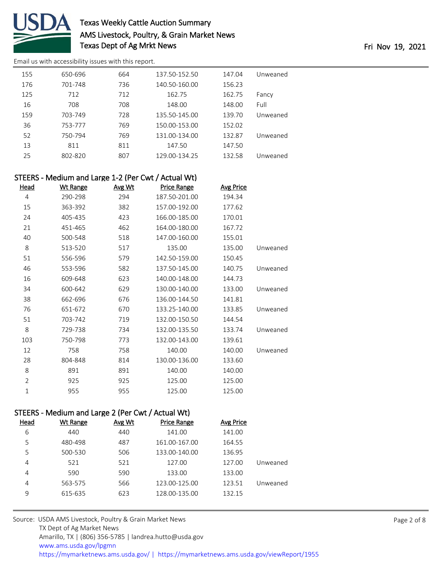

[Email us with accessibility issues with this report.](mailto:mars@ams.usda.gov?subject=508%20issue)

| 155 | 650-696 | 664 | 137.50-152.50 | 147.04 | Unweaned |
|-----|---------|-----|---------------|--------|----------|
| 176 | 701-748 | 736 | 140.50-160.00 | 156.23 |          |
| 125 | 712     | 712 | 162.75        | 162.75 | Fancy    |
| 16  | 708     | 708 | 148.00        | 148.00 | Full     |
| 159 | 703-749 | 728 | 135.50-145.00 | 139.70 | Unweaned |
| 36  | 753-777 | 769 | 150.00-153.00 | 152.02 |          |
| 52  | 750-794 | 769 | 131.00-134.00 | 132.87 | Unweaned |
| 13  | 811     | 811 | 147.50        | 147.50 |          |
| 25  | 802-820 | 807 | 129.00-134.25 | 132.58 | Unweaned |

|      | STEERS - Medium and Large 1-2 (Per Cwt / Actual Wt) |               |                    |                  |          |
|------|-----------------------------------------------------|---------------|--------------------|------------------|----------|
| Head | <u>Wt Range</u>                                     | <u>Avg Wt</u> | <b>Price Range</b> | <b>Avg Price</b> |          |
| 4    | 290-298                                             | 294           | 187.50-201.00      | 194.34           |          |
| 15   | 363-392                                             | 382           | 157.00-192.00      | 177.62           |          |
| 24   | 405-435                                             | 423           | 166.00-185.00      | 170.01           |          |
| 21   | 451-465                                             | 462           | 164.00-180.00      | 167.72           |          |
| 40   | 500-548                                             | 518           | 147.00-160.00      | 155.01           |          |
| 8    | 513-520                                             | 517           | 135.00             | 135.00           | Unweaned |
| 51   | 556-596                                             | 579           | 142.50-159.00      | 150.45           |          |
| 46   | 553-596                                             | 582           | 137.50-145.00      | 140.75           | Unweaned |
| 16   | 609-648                                             | 623           | 140.00-148.00      | 144.73           |          |
| 34   | 600-642                                             | 629           | 130.00-140.00      | 133.00           | Unweaned |
| 38   | 662-696                                             | 676           | 136.00-144.50      | 141.81           |          |
| 76   | 651-672                                             | 670           | 133.25-140.00      | 133.85           | Unweaned |
| 51   | 703-742                                             | 719           | 132.00-150.50      | 144.54           |          |
| 8    | 729-738                                             | 734           | 132.00-135.50      | 133.74           | Unweaned |
| 103  | 750-798                                             | 773           | 132.00-143.00      | 139.61           |          |

# STEERS - Medium and Large 2 (Per Cwt / Actual Wt)

|          | フェレレハン<br>IVICUIUIII UIIU CUIRC Z (I CI CWL) ACLUUI WL) |                    |        |          |             |
|----------|---------------------------------------------------------|--------------------|--------|----------|-------------|
|          | Avg Price                                               | <b>Price Range</b> | Avg Wt | Wt Range | <b>Head</b> |
|          | 141.00                                                  | 141.00             | 440    | 440      | 6           |
|          | 164.55                                                  | 161.00-167.00      | 487    | 480-498  | 5           |
|          | 136.95                                                  | 133.00-140.00      | 506    | 500-530  | 5           |
| Unweaned | 127.00                                                  | 127.00             | 521    | 521      | 4           |
|          | 133.00                                                  | 133.00             | 590    | 590      | 4           |
| Unweaned | 123.51                                                  | 123.00-125.00      | 566    | 563-575  | 4           |
|          | 132.15                                                  | 128.00-135.00      | 623    | 615-635  | 9           |
|          |                                                         |                    |        |          |             |

758 758 140.00 140.00 Unweaned

 804-848 814 130.00-136.00 133.60 8 891 891 140.00 140.00 925 925 125.00 125.00 955 955 125.00 125.00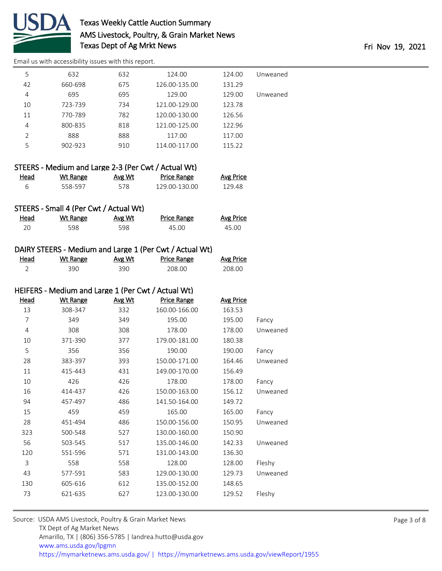

[Email us with accessibility issues with this report.](mailto:mars@ams.usda.gov?subject=508%20issue)

| Unweaned | 124.00 | 124.00        | 632 | 632     | 5              |
|----------|--------|---------------|-----|---------|----------------|
|          | 131.29 | 126.00-135.00 | 675 | 660-698 | 42             |
| Unweaned | 129.00 | 129.00        | 695 | 695     | 4              |
|          | 123.78 | 121.00-129.00 | 734 | 723-739 | 10             |
|          | 126.56 | 120.00-130.00 | 782 | 770-789 | 11             |
|          | 122.96 | 121.00-125.00 | 818 | 800-835 | 4              |
|          | 117.00 | 117.00        | 888 | 888     | $\overline{2}$ |
|          | 115.22 | 114.00-117.00 | 910 | 902-923 | 5              |
|          |        |               |     |         |                |

|      | STEERS - Medium and Large 2-3 (Per Cwt / Actual Wt) |        |                    |                  |
|------|-----------------------------------------------------|--------|--------------------|------------------|
| Head | Wt Range                                            | Avg Wt | <b>Price Range</b> | <b>Avg Price</b> |
| Б    | 558-597                                             | 578    | 129.00-130.00      | 129.48           |

### STEERS - Small 4 (Per Cwt / Actual Wt)

| Head | <u>Wt Range</u> | <u>Avg Wt</u> | <b>Price Range</b> | <b>Avg Price</b> |
|------|-----------------|---------------|--------------------|------------------|
|      | 598             | 598           | 45.00              | 45.00            |

### DAIRY STEERS - Medium and Large 1 (Per Cwt / Actual Wt)

| <u>Head</u> | Wt Range | Avg Wt | <b>Price Range</b> | <b>Avg Price</b> |
|-------------|----------|--------|--------------------|------------------|
|             | 390      | 390    | 208.00             | 208.00           |

### HEIFERS - Medium and Large 1 (Per Cwt / Actual Wt)

| <b>Head</b> | <b>Wt Range</b> | Avg Wt | <b>Price Range</b> | <b>Avg Price</b> |          |
|-------------|-----------------|--------|--------------------|------------------|----------|
| 13          | 308-347         | 332    | 160.00-166.00      | 163.53           |          |
| 7           | 349             | 349    | 195.00             | 195.00           | Fancy    |
| 4           | 308             | 308    | 178.00             | 178.00           | Unweaned |
| 10          | 371-390         | 377    | 179.00-181.00      | 180.38           |          |
| 5           | 356             | 356    | 190.00             | 190.00           | Fancy    |
| 28          | 383-397         | 393    | 150.00-171.00      | 164.46           | Unweaned |
| 11          | 415-443         | 431    | 149.00-170.00      | 156.49           |          |
| 10          | 426             | 426    | 178.00             | 178.00           | Fancy    |
| 16          | 414-437         | 426    | 150.00-163.00      | 156.12           | Unweaned |
| 94          | 457-497         | 486    | 141.50-164.00      | 149.72           |          |
| 15          | 459             | 459    | 165.00             | 165.00           | Fancy    |
| 28          | 451-494         | 486    | 150.00-156.00      | 150.95           | Unweaned |
| 323         | 500-548         | 527    | 130.00-160.00      | 150.90           |          |
| 56          | 503-545         | 517    | 135.00-146.00      | 142.33           | Unweaned |
| 120         | 551-596         | 571    | 131.00-143.00      | 136.30           |          |
| 3           | 558             | 558    | 128.00             | 128.00           | Fleshy   |
| 43          | 577-591         | 583    | 129.00-130.00      | 129.73           | Unweaned |
| 130         | 605-616         | 612    | 135.00-152.00      | 148.65           |          |
| 73          | 621-635         | 627    | 123.00-130.00      | 129.52           | Fleshy   |
|             |                 |        |                    |                  |          |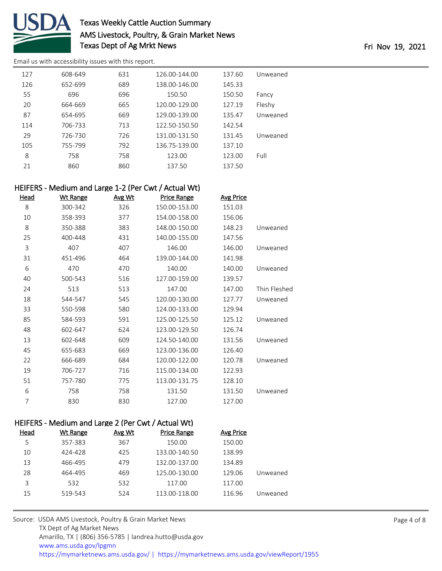

[Email us with accessibility issues with this report.](mailto:mars@ams.usda.gov?subject=508%20issue)

| 127 | 608-649 | 631 | 126.00-144.00 | 137.60 | Unweaned |
|-----|---------|-----|---------------|--------|----------|
| 126 | 652-699 | 689 | 138.00-146.00 | 145.33 |          |
| 55  | 696     | 696 | 150.50        | 150.50 | Fancy    |
| 20  | 664-669 | 665 | 120.00-129.00 | 127.19 | Fleshy   |
| 87  | 654-695 | 669 | 129.00-139.00 | 135.47 | Unweaned |
| 114 | 706-733 | 713 | 122.50-150.50 | 142.54 |          |
| 29  | 726-730 | 726 | 131.00-131.50 | 131.45 | Unweaned |
| 105 | 755-799 | 792 | 136.75-139.00 | 137.10 |          |
| 8   | 758     | 758 | 123.00        | 123.00 | Full     |
| 21  | 860     | 860 | 137.50        | 137.50 |          |
|     |         |     |               |        |          |

### HEIFERS - Medium and Large 1-2 (Per Cwt / Actual Wt)

| Head | <b>Wt Range</b> | Avg Wt | <b>Price Range</b> | <b>Avg Price</b> |              |
|------|-----------------|--------|--------------------|------------------|--------------|
| 8    | 300-342         | 326    | 150.00-153.00      | 151.03           |              |
| 10   | 358-393         | 377    | 154.00-158.00      | 156.06           |              |
| 8    | 350-388         | 383    | 148.00-150.00      | 148.23           | Unweaned     |
| 25   | 400-448         | 431    | 140.00-155.00      | 147.56           |              |
| 3    | 407             | 407    | 146.00             | 146.00           | Unweaned     |
| 31   | 451-496         | 464    | 139.00-144.00      | 141.98           |              |
| 6    | 470             | 470    | 140.00             | 140.00           | Unweaned     |
| 40   | 500-543         | 516    | 127.00-159.00      | 139.57           |              |
| 24   | 513             | 513    | 147.00             | 147.00           | Thin Fleshed |
| 18   | 544-547         | 545    | 120.00-130.00      | 127.77           | Unweaned     |
| 33   | 550-598         | 580    | 124.00-133.00      | 129.94           |              |
| 85   | 584-593         | 591    | 125.00-125.50      | 125.12           | Unweaned     |
| 48   | 602-647         | 624    | 123.00-129.50      | 126.74           |              |
| 13   | 602-648         | 609    | 124.50-140.00      | 131.56           | Unweaned     |
| 45   | 655-683         | 669    | 123.00-136.00      | 126.40           |              |
| 22   | 666-689         | 684    | 120.00-122.00      | 120.78           | Unweaned     |
| 19   | 706-727         | 716    | 115.00-134.00      | 122.93           |              |
| 51   | 757-780         | 775    | 113.00-131.75      | 128.10           |              |
| 6    | 758             | 758    | 131.50             | 131.50           | Unweaned     |
| 7    | 830             | 830    | 127.00             | 127.00           |              |
|      |                 |        |                    |                  |              |

### HEIFERS - Medium and Large 2 (Per Cwt / Actual Wt)

| Head | Wt Range | Avg Wt | <b>Price Range</b> | Avg Price |          |
|------|----------|--------|--------------------|-----------|----------|
| 5    | 357-383  | 367    | 150.00             | 150.00    |          |
| 10   | 424-428  | 425    | 133.00-140.50      | 138.99    |          |
| 13   | 466-495  | 479    | 132.00-137.00      | 134.89    |          |
| 28   | 464-495  | 469    | 125.00-130.00      | 129.06    | Unweaned |
| 3    | 532      | 532    | 117.00             | 117.00    |          |
| 15   | 519-543  | 524    | 113.00-118.00      | 116.96    | Unweaned |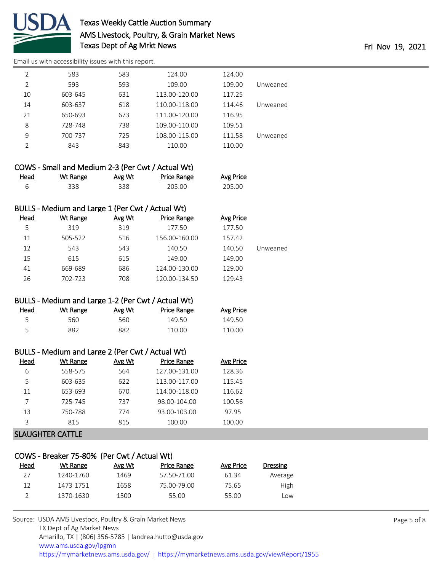

[Email us with accessibility issues with this report.](mailto:mars@ams.usda.gov?subject=508%20issue)

| 2             | 583     | 583 | 124.00        | 124.00 |          |
|---------------|---------|-----|---------------|--------|----------|
| 2             | 593     | 593 | 109.00        | 109.00 | Unweaned |
| 10            | 603-645 | 631 | 113.00-120.00 | 117.25 |          |
| 14            | 603-637 | 618 | 110.00-118.00 | 114.46 | Unweaned |
| 21            | 650-693 | 673 | 111.00-120.00 | 116.95 |          |
| 8             | 728-748 | 738 | 109.00-110.00 | 109.51 |          |
| 9             | 700-737 | 725 | 108.00-115.00 | 111.58 | Unweaned |
| $\mathcal{P}$ | 843     | 843 | 110.00        | 110.00 |          |
|               |         |     |               |        |          |

|      | COWS - Small and Medium 2-3 (Per Cwt / Actual Wt) |        |             |                  |
|------|---------------------------------------------------|--------|-------------|------------------|
| Head | Wt Range                                          | Avg Wt | Price Range | <b>Avg Price</b> |
|      | 338.                                              | 338    | 205.00      | 205.00           |

### BULLS - Medium and Large 1 (Per Cwt / Actual Wt)

| Head | Wt Range | Avg Wt | <b>Price Range</b> | Avg Price |          |
|------|----------|--------|--------------------|-----------|----------|
| 5    | 319      | 319    | 177.50             | 177.50    |          |
| 11   | 505-522  | 516    | 156.00-160.00      | 157.42    |          |
| 12   | 543      | 543    | 140.50             | 140.50    | Jnweaned |
| 15   | 615      | 615    | 149.00             | 149.00    |          |
| 41   | 669-689  | 686    | 124.00-130.00      | 129.00    |          |
| 26   | 702-723  | 708    | 120.00-134.50      | 129.43    |          |

### BULLS - Medium and Large 1-2 (Per Cwt / Actual Wt)

| Head | Wt Range | Avg Wt | <b>Price Range</b> | <b>Avg Price</b> |
|------|----------|--------|--------------------|------------------|
|      | 560      | 560    | 149.50             | 149.50           |
|      | 882      | 882    | 110.00             | 110.00           |

### BULLS - Medium and Large 2 (Per Cwt / Actual Wt)

| Head | Wt Range | Avg Wt | <b>Price Range</b> | Avg Price |
|------|----------|--------|--------------------|-----------|
| 6    | 558-575  | 564    | 127.00-131.00      | 128.36    |
| 5    | 603-635  | 622    | 113.00-117.00      | 115.45    |
| 11   | 653-693  | 670    | 114.00-118.00      | 116.62    |
|      | 725-745  | 737    | 98.00-104.00       | 100.56    |
| 13   | 750-788  | 774    | 93.00-103.00       | 97.95     |
| 3    | 815      | 815    | 100.00             | 100.00    |
|      |          |        |                    |           |

### SLAUGHTER CATTLE

| COWS - Breaker 75-80% (Per Cwt / Actual Wt) |           |        |                    |           |                 |  |  |  |
|---------------------------------------------|-----------|--------|--------------------|-----------|-----------------|--|--|--|
| Head                                        | Wt Range  | Avg Wt | <b>Price Range</b> | Avg Price | <b>Dressing</b> |  |  |  |
| 27                                          | 1240-1760 | 1469   | 57.50-71.00        | 61.34     | Average         |  |  |  |
| 12                                          | 1473-1751 | 1658   | 75.00-79.00        | 75.65     | High            |  |  |  |
|                                             | 1370-1630 | 1500   | 55.00              | 55.00     | LOW             |  |  |  |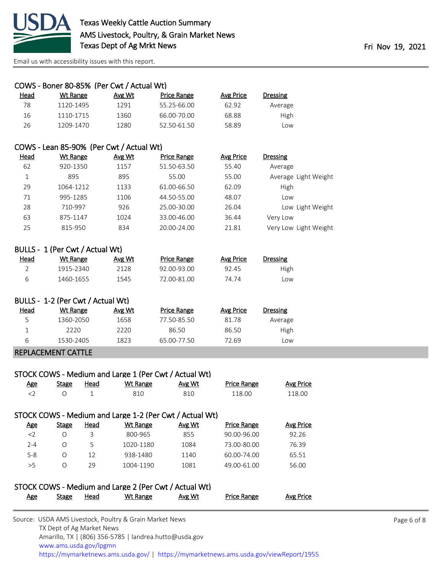

[Email us with accessibility issues with this report.](mailto:mars@ams.usda.gov?subject=508%20issue)

|                                 |                                   | COWS - Boner 80-85% (Per Cwt / Actual Wt)                            |                                                         |                                   |                           |  |  |
|---------------------------------|-----------------------------------|----------------------------------------------------------------------|---------------------------------------------------------|-----------------------------------|---------------------------|--|--|
| Head                            | <b>Wt Range</b>                   | Avg Wt                                                               | <b>Price Range</b>                                      | <b>Avg Price</b>                  | <b>Dressing</b>           |  |  |
| 78                              | 1120-1495                         | 1291                                                                 | 55.25-66.00                                             | 62.92                             | Average                   |  |  |
| 16                              | 1110-1715                         | 1360                                                                 | 66.00-70.00                                             | 68.88                             | High                      |  |  |
| 26                              | 1209-1470                         | 1280                                                                 | 52.50-61.50                                             | 58.89                             | Low                       |  |  |
|                                 |                                   |                                                                      |                                                         |                                   |                           |  |  |
|                                 |                                   | COWS - Lean 85-90% (Per Cwt / Actual Wt)                             |                                                         |                                   |                           |  |  |
| Head                            | <b>Wt Range</b>                   | Avg Wt                                                               | Price Range                                             | <b>Avg Price</b>                  | <b>Dressing</b>           |  |  |
| 62                              | 920-1350                          | 1157                                                                 | 51.50-63.50                                             | 55.40                             | Average                   |  |  |
| $\mathbf{1}$                    | 895                               | 895                                                                  | 55.00                                                   | 55.00                             | Average Light Weight      |  |  |
| 29                              | 1064-1212                         | 1133                                                                 | 61.00-66.50                                             | 62.09                             | High                      |  |  |
| 71                              | 995-1285                          | 1106                                                                 | 44.50-55.00                                             | 48.07                             | Low                       |  |  |
| 28                              | 710-997                           | 926                                                                  | 25.00-30.00                                             | 26.04                             | Low Light Weight          |  |  |
| 63                              | 875-1147                          | 1024                                                                 | 33.00-46.00                                             | 36.44                             | Very Low                  |  |  |
| 25                              | 815-950                           | 834                                                                  | 20.00-24.00                                             | 21.81                             | Very Low Light Weight     |  |  |
|                                 |                                   |                                                                      |                                                         |                                   |                           |  |  |
| BULLS - 1 (Per Cwt / Actual Wt) |                                   |                                                                      |                                                         |                                   |                           |  |  |
| Head                            | <b>Wt Range</b>                   | Avg Wt                                                               | <b>Price Range</b>                                      | <b>Avg Price</b>                  | <b>Dressing</b>           |  |  |
| $\overline{2}$                  | 1915-2340                         | 2128                                                                 | 92.00-93.00                                             | 92.45                             | High                      |  |  |
| 6                               | 1460-1655                         | 1545                                                                 | 72.00-81.00                                             | 74.74                             | Low                       |  |  |
|                                 | BULLS - 1-2 (Per Cwt / Actual Wt) |                                                                      |                                                         |                                   |                           |  |  |
| Head                            | <b>Wt Range</b>                   | Avg Wt                                                               | <b>Price Range</b>                                      | <b>Avg Price</b>                  | <b>Dressing</b>           |  |  |
| 5                               | 1360-2050                         | 1658                                                                 | 77.50-85.50                                             | 81.78                             | Average                   |  |  |
| 1                               | 2220                              | 2220                                                                 | 86.50                                                   | 86.50                             | High                      |  |  |
| 6                               | 1530-2405                         | 1823                                                                 | 65.00-77.50                                             | 72.69                             | Low                       |  |  |
|                                 | <b>REPLACEMENT CATTLE</b>         |                                                                      |                                                         |                                   |                           |  |  |
|                                 |                                   |                                                                      |                                                         |                                   |                           |  |  |
|                                 |                                   |                                                                      | STOCK COWS - Medium and Large 1 (Per Cwt / Actual Wt)   |                                   |                           |  |  |
| <b>Age</b>                      | <b>Stage</b>                      | <b>Wt Range</b><br><b>Head</b>                                       | Avg Wt                                                  | <b>Price Range</b>                | <b>Avg Price</b>          |  |  |
| $<$ 2                           | O                                 | 1<br>810                                                             | 810                                                     | 118.00                            | 118.00                    |  |  |
|                                 |                                   |                                                                      |                                                         |                                   |                           |  |  |
|                                 |                                   |                                                                      | STOCK COWS - Medium and Large 1-2 (Per Cwt / Actual Wt) |                                   |                           |  |  |
| <b>Age</b><br>$\sim$            | <b>Stage</b><br>$\sim$            | <b>Head</b><br><b>Wt Range</b><br>$\overline{\phantom{0}}$<br>000000 | Avg Wt<br>OFT                                           | <b>Price Range</b><br>00.00.00.00 | <b>Avg Price</b><br>02.2c |  |  |

| <u>Age</u> | Stage | Head | Wt Range                                              | Avg Wt | <b>Price Range</b> | Avg Price |
|------------|-------|------|-------------------------------------------------------|--------|--------------------|-----------|
|            |       |      | STOCK COWS - Medium and Large 2 (Per Cwt / Actual Wt) |        |                    |           |
|            |       |      |                                                       |        |                    |           |
| > 5        | O     | 29   | 1004-1190                                             | 1081   | 49.00-61.00        | 56.00     |
| $5 - 8$    | O     | 12   | 938-1480                                              | 1140   | 60.00-74.00        | 65.51     |
| $2 - 4$    | O     | 5.   | 1020-1180                                             | 1084   | 73.00-80.00        | 76.39     |
| <          | O     | 3    | 800-965                                               | 855    | 90.00-96.00        | 92.26     |
|            |       |      |                                                       |        |                    |           |

| Source: USDA AMS Livestock, Poultry & Grain Market News                                |
|----------------------------------------------------------------------------------------|
| TX Dept of Ag Market News                                                              |
| Amarillo, TX   (806) 356-5785   landrea.hutto@usda.gov                                 |
| www.ams.usda.gov/lpgmn                                                                 |
| https://mymarketnews.ams.usda.gov/   https://mymarketnews.ams.usda.gov/viewReport/1955 |

Page 6 of 8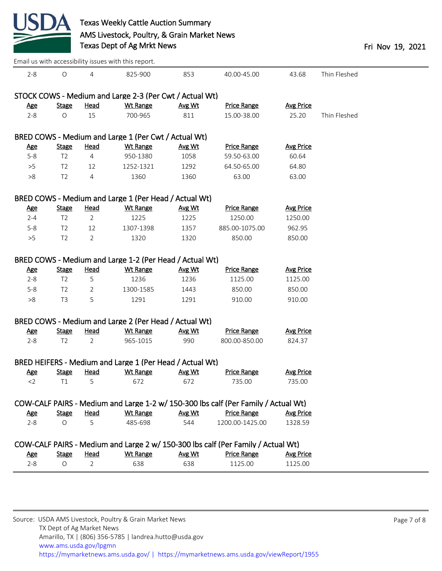

|                       |                          |                  | Email us with accessibility issues with this report.     |               |                                                                                    |                             |              |
|-----------------------|--------------------------|------------------|----------------------------------------------------------|---------------|------------------------------------------------------------------------------------|-----------------------------|--------------|
| $2 - 8$               | $\circ$                  | 4                | 825-900                                                  | 853           | 40.00-45.00                                                                        | 43.68                       | Thin Fleshed |
|                       |                          |                  | STOCK COWS - Medium and Large 2-3 (Per Cwt / Actual Wt)  |               |                                                                                    |                             |              |
| <b>Age</b>            | <b>Stage</b>             | <b>Head</b>      | <b>Wt Range</b>                                          | Avg Wt        | <b>Price Range</b>                                                                 | <b>Avg Price</b>            |              |
| $2 - 8$               | $\circ$                  | 15               | 700-965                                                  | 811           | 15.00-38.00                                                                        | 25.20                       | Thin Fleshed |
|                       |                          |                  |                                                          |               |                                                                                    |                             |              |
|                       |                          |                  | BRED COWS - Medium and Large 1 (Per Cwt / Actual Wt)     |               |                                                                                    |                             |              |
| <u>Age</u>            | <b>Stage</b>             | Head             | <b>Wt Range</b>                                          | Avg Wt        | <b>Price Range</b>                                                                 | <b>Avg Price</b>            |              |
| $5 - 8$               | T <sub>2</sub>           | 4                | 950-1380                                                 | 1058          | 59.50-63.00                                                                        | 60.64                       |              |
| $>5$                  | T <sub>2</sub>           | 12               | 1252-1321                                                | 1292          | 64.50-65.00                                                                        | 64.80                       |              |
| >8                    | T <sub>2</sub>           | 4                | 1360                                                     | 1360          | 63.00                                                                              | 63.00                       |              |
|                       |                          |                  |                                                          |               |                                                                                    |                             |              |
|                       |                          |                  | BRED COWS - Medium and Large 1 (Per Head / Actual Wt)    |               |                                                                                    |                             |              |
| <u>Age</u>            | <b>Stage</b>             | <b>Head</b>      | Wt Range                                                 | Avg Wt        | <b>Price Range</b>                                                                 | <b>Avg Price</b>            |              |
| $2 - 4$               | T <sub>2</sub>           | $\overline{2}$   | 1225                                                     | 1225          | 1250.00                                                                            | 1250.00                     |              |
| $5-8$                 | T <sub>2</sub>           | 12               | 1307-1398                                                | 1357          | 885.00-1075.00                                                                     | 962.95                      |              |
| >5                    | T <sub>2</sub>           | 2                | 1320                                                     | 1320          | 850.00                                                                             | 850.00                      |              |
|                       |                          |                  |                                                          |               |                                                                                    |                             |              |
|                       |                          |                  | BRED COWS - Medium and Large 1-2 (Per Head / Actual Wt)  |               |                                                                                    |                             |              |
| <b>Age</b>            | <b>Stage</b>             | <b>Head</b>      | <b>Wt Range</b>                                          | Avg Wt        | <b>Price Range</b>                                                                 | <b>Avg Price</b>            |              |
| $2 - 8$               | T <sub>2</sub>           | 5                | 1236                                                     | 1236          | 1125.00                                                                            | 1125.00                     |              |
| $5 - 8$               | T <sub>2</sub>           | 2                | 1300-1585                                                | 1443          | 850.00                                                                             | 850.00                      |              |
| >8                    | T <sub>3</sub>           | 5                | 1291                                                     | 1291          | 910.00                                                                             | 910.00                      |              |
|                       |                          |                  |                                                          |               |                                                                                    |                             |              |
|                       |                          |                  | BRED COWS - Medium and Large 2 (Per Head / Actual Wt)    |               |                                                                                    |                             |              |
| <b>Age</b>            | <b>Stage</b>             | <b>Head</b>      | <b>Wt Range</b>                                          | Avg Wt        | <b>Price Range</b>                                                                 | <b>Avg Price</b>            |              |
| $2 - 8$               | T <sub>2</sub>           | 2                | 965-1015                                                 | 990           | 800.00-850.00                                                                      | 824.37                      |              |
|                       |                          |                  |                                                          |               |                                                                                    |                             |              |
|                       |                          |                  | BRED HEIFERS - Medium and Large 1 (Per Head / Actual Wt) |               |                                                                                    |                             |              |
| <u>Age</u>            | <b>Stage</b>             | <u>Head</u>      | <b>Wt Range</b>                                          | Avg Wt        | <b>Price Range</b>                                                                 | <b>Avg Price</b>            |              |
| 2                     | T1                       | 5 <sup>1</sup>   | 672                                                      | 672           | 735.00                                                                             | 735.00                      |              |
|                       |                          |                  |                                                          |               |                                                                                    |                             |              |
|                       |                          |                  |                                                          |               | COW-CALF PAIRS - Medium and Large 1-2 w/ 150-300 lbs calf (Per Family / Actual Wt) |                             |              |
| <b>Age</b><br>$2 - 8$ | <b>Stage</b><br>$\Omega$ | <b>Head</b><br>5 | <b>Wt Range</b><br>485-698                               | Avg Wt<br>544 | <b>Price Range</b><br>1200.00-1425.00                                              | <b>Avg Price</b><br>1328.59 |              |
|                       |                          |                  |                                                          |               |                                                                                    |                             |              |
|                       |                          |                  |                                                          |               | COW-CALF PAIRS - Medium and Large 2 w/ 150-300 lbs calf (Per Family / Actual Wt)   |                             |              |
| <b>Age</b>            | <b>Stage</b>             | <b>Head</b>      | <b>Wt Range</b>                                          | Avg Wt        | <b>Price Range</b>                                                                 | <b>Avg Price</b>            |              |
| $2 - 8$               | $\bigcirc$               | 2                | 638                                                      | 638           | 1125.00                                                                            | 1125.00                     |              |
|                       |                          |                  |                                                          |               |                                                                                    |                             |              |